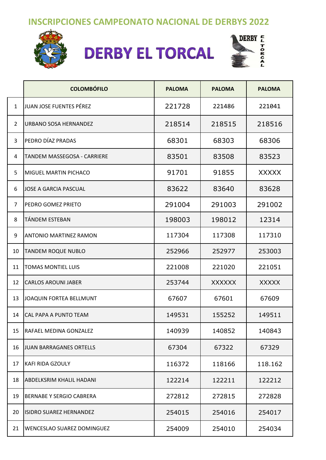## **INSCRIPCIONES CAMPEONATO NACIONAL DE DERBYS 2022**



## **DERBY EL TORCAL**



|                | <b>COLOMBÓFILO</b>              | <b>PALOMA</b> | <b>PALOMA</b> | <b>PALOMA</b> |
|----------------|---------------------------------|---------------|---------------|---------------|
| $\mathbf{1}$   | JUAN JOSE FUENTES PÉREZ         | 221728        | 221486        | 221041        |
| $\overline{2}$ | URBANO SOSA HERNANDEZ           | 218514        | 218515        | 218516        |
| 3              | PEDRO DÍAZ PRADAS               | 68301         | 68303         | 68306         |
| 4              | TANDEM MASSEGOSA - CARRIERE     | 83501         | 83508         | 83523         |
| 5              | <b>MIGUEL MARTIN PICHACO</b>    | 91701         | 91855         | <b>XXXXX</b>  |
| 6              | <b>JOSE A GARCIA PASCUAL</b>    | 83622         | 83640         | 83628         |
| 7              | PEDRO GOMEZ PRIETO              | 291004        | 291003        | 291002        |
| 8              | TÁNDEM ESTEBAN                  | 198003        | 198012        | 12314         |
| 9              | <b>ANTONIO MARTINEZ RAMON</b>   | 117304        | 117308        | 117310        |
| 10             | <b>TANDEM ROQUE NUBLO</b>       | 252966        | 252977        | 253003        |
| 11             | <b>TOMAS MONTIEL LUIS</b>       | 221008        | 221020        | 221051        |
| 12             | <b>CARLOS AROUNI JABER</b>      | 253744        | <b>XXXXXX</b> | <b>XXXXX</b>  |
| 13             | JOAQUIN FORTEA BELLMUNT         | 67607         | 67601         | 67609         |
| 14             | CAL PAPA A PUNTO TEAM           | 149531        | 155252        | 149511        |
| 15             | RAFAEL MEDINA GONZALEZ          | 140939        | 140852        | 140843        |
| 16             | JUAN BARRAGANES ORTELLS         | 67304         | 67322         | 67329         |
| 17             | <b>KAFI RIDA GZOULY</b>         | 116372        | 118166        | 118.162       |
| 18             | <b>ABDELKSRIM KHALIL HADANI</b> | 122214        | 122211        | 122212        |
| 19             | <b>BERNABE Y SERGIO CABRERA</b> | 272812        | 272815        | 272828        |
| 20             | ISIDRO SUAREZ HERNANDEZ         | 254015        | 254016        | 254017        |
| 21             | WENCESLAO SUAREZ DOMINGUEZ      | 254009        | 254010        | 254034        |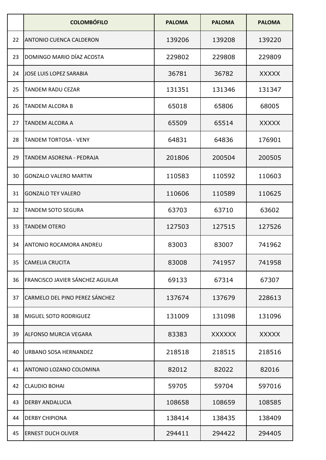|    | <b>COLOMBÓFILO</b>                      | <b>PALOMA</b> | <b>PALOMA</b> | <b>PALOMA</b> |
|----|-----------------------------------------|---------------|---------------|---------------|
| 22 | <b>ANTONIO CUENCA CALDERON</b>          | 139206        | 139208        | 139220        |
| 23 | DOMINGO MARIO DÍAZ ACOSTA               | 229802        | 229808        | 229809        |
| 24 | <b>JOSE LUIS LOPEZ SARABIA</b>          | 36781         | 36782         | <b>XXXXX</b>  |
| 25 | <b>TANDEM RADU CEZAR</b>                | 131351        | 131346        | 131347        |
| 26 | <b>TANDEM ALCORA B</b>                  | 65018         | 65806         | 68005         |
| 27 | TANDEM ALCORA A                         | 65509         | 65514         | <b>XXXXX</b>  |
| 28 | <b>TANDEM TORTOSA - VENY</b>            | 64831         | 64836         | 176901        |
| 29 | TANDEM ASORENA - PEDRAJA                | 201806        | 200504        | 200505        |
| 30 | <b>GONZALO VALERO MARTIN</b>            | 110583        | 110592        | 110603        |
| 31 | <b>GONZALO TEY VALERO</b>               | 110606        | 110589        | 110625        |
| 32 | <b>TANDEM SOTO SEGURA</b>               | 63703         | 63710         | 63602         |
| 33 | <b>TANDEM OTERO</b>                     | 127503        | 127515        | 127526        |
| 34 | <b>ANTONIO ROCAMORA ANDREU</b>          | 83003         | 83007         | 741962        |
| 35 | <b>CAMELIA CRUCITA</b>                  | 83008         | 741957        | 741958        |
| 36 | <b>FRANCISCO JAVIER SÁNCHEZ AGUILAR</b> | 69133         | 67314         | 67307         |
| 37 | <b>CARMELO DEL PINO PEREZ SÁNCHEZ</b>   | 137674        | 137679        | 228613        |
| 38 | MIGUEL SOTO RODRIGUEZ                   | 131009        | 131098        | 131096        |
| 39 | <b>ALFONSO MURCIA VEGARA</b>            | 83383         | <b>XXXXXX</b> | <b>XXXXX</b>  |
| 40 | URBANO SOSA HERNANDEZ                   | 218518        | 218515        | 218516        |
| 41 | ANTONIO LOZANO COLOMINA                 | 82012         | 82022         | 82016         |
| 42 | <b>CLAUDIO BOHAI</b>                    | 59705         | 59704         | 597016        |
| 43 | <b>DERBY ANDALUCIA</b>                  | 108658        | 108659        | 108585        |
| 44 | <b>DERBY CHIPIONA</b>                   | 138414        | 138435        | 138409        |
| 45 | <b>ERNEST DUCH OLIVER</b>               | 294411        | 294422        | 294405        |